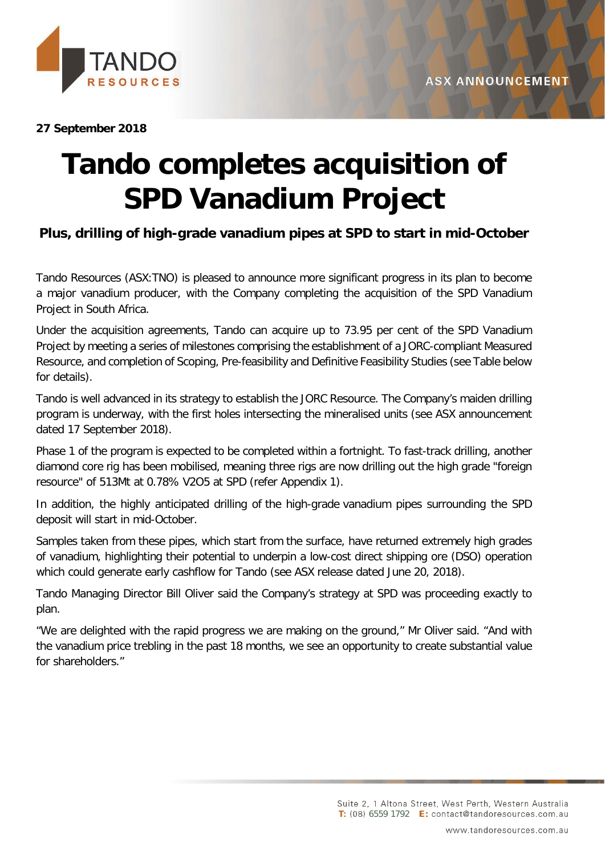

#### **27 September 2018**

# **Tando completes acquisition of SPD Vanadium Project**

## **Plus, drilling of high-grade vanadium pipes at SPD to start in mid-October**

Tando Resources (ASX:TNO) is pleased to announce more significant progress in its plan to become a major vanadium producer, with the Company completing the acquisition of the SPD Vanadium Project in South Africa.

Under the acquisition agreements, Tando can acquire up to 73.95 per cent of the SPD Vanadium Project by meeting a series of milestones comprising the establishment of a JORC-compliant Measured Resource, and completion of Scoping, Pre-feasibility and Definitive Feasibility Studies (see Table below for details).

Tando is well advanced in its strategy to establish the JORC Resource. The Company's maiden drilling program is underway, with the first holes intersecting the mineralised units (see ASX announcement dated 17 September 2018).

Phase 1 of the program is expected to be completed within a fortnight. To fast-track drilling, another diamond core rig has been mobilised, meaning three rigs are now drilling out the high grade "foreign resource" of 513Mt at 0.78% V2O5 at SPD (refer Appendix 1).

In addition, the highly anticipated drilling of the high-grade vanadium pipes surrounding the SPD deposit will start in mid-October.

Samples taken from these pipes, which start from the surface, have returned extremely high grades of vanadium, highlighting their potential to underpin a low-cost direct shipping ore (DSO) operation which could generate early cashflow for Tando (see ASX release dated June 20, 2018).

Tando Managing Director Bill Oliver said the Company's strategy at SPD was proceeding exactly to plan.

"We are delighted with the rapid progress we are making on the ground," Mr Oliver said. "And with the vanadium price trebling in the past 18 months, we see an opportunity to create substantial value for shareholders."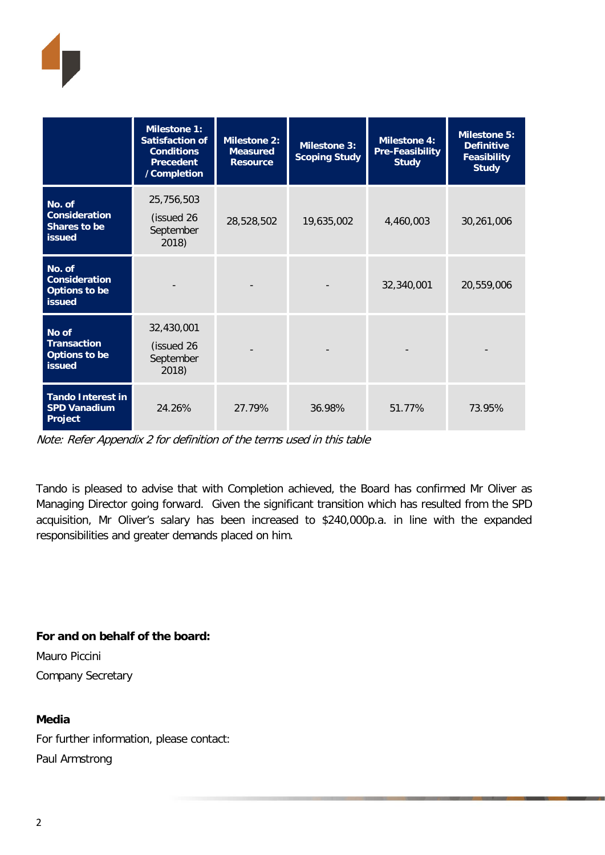

|                                                                         | <b>Milestone 1:</b><br><b>Satisfaction of</b><br><b>Conditions</b><br><b>Precedent</b><br>/Completion | <b>Milestone 2:</b><br><b>Measured</b><br><b>Resource</b> | <b>Milestone 3:</b><br><b>Scoping Study</b> | <b>Milestone 4:</b><br><b>Pre-Feasibility</b><br><b>Study</b> | Milestone 5:<br><b>Definitive</b><br><b>Feasibility</b><br><b>Study</b> |
|-------------------------------------------------------------------------|-------------------------------------------------------------------------------------------------------|-----------------------------------------------------------|---------------------------------------------|---------------------------------------------------------------|-------------------------------------------------------------------------|
| No. of<br><b>Consideration</b><br>Shares to be<br><b>issued</b>         | 25,756,503<br>(issued 26<br>September<br>2018)                                                        | 28,528,502                                                | 19,635,002                                  | 4,460,003                                                     | 30,261,006                                                              |
| No. of<br><b>Consideration</b><br><b>Options to be</b><br><b>issued</b> |                                                                                                       |                                                           |                                             | 32,340,001                                                    | 20,559,006                                                              |
| No of<br><b>Transaction</b><br><b>Options to be</b><br>issued           | 32,430,001<br>(issued 26<br>September<br>2018)                                                        |                                                           |                                             |                                                               |                                                                         |
| <b>Tando Interest in</b><br><b>SPD Vanadium</b><br>Project              | 24.26%                                                                                                | 27.79%                                                    | 36.98%                                      | 51.77%                                                        | 73.95%                                                                  |

Note: Refer Appendix 2 for definition of the terms used in this table

Tando is pleased to advise that with Completion achieved, the Board has confirmed Mr Oliver as Managing Director going forward. Given the significant transition which has resulted from the SPD acquisition, Mr Oliver's salary has been increased to \$240,000p.a. in line with the expanded responsibilities and greater demands placed on him.

**For and on behalf of the board:** Mauro Piccini Company Secretary

#### **Media**

For further information, please contact: Paul Armstrong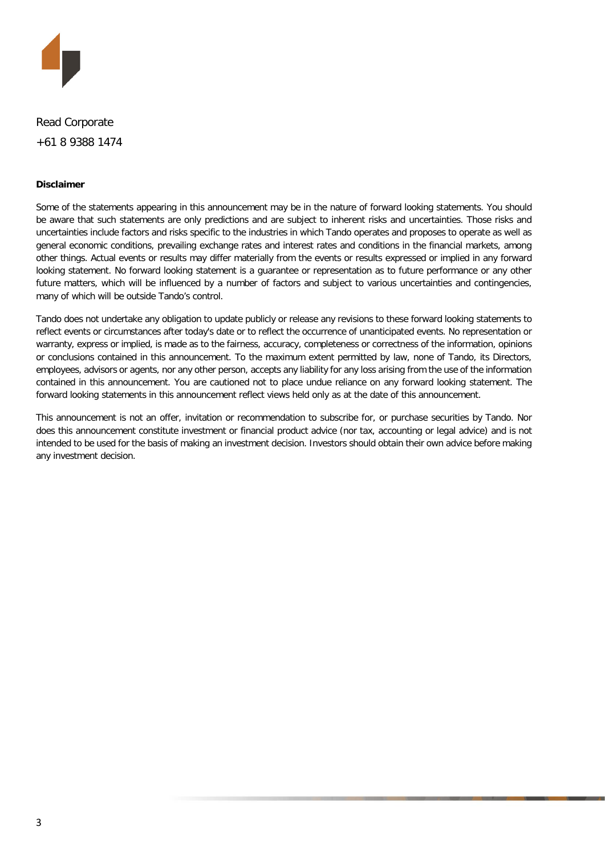

Read Corporate +61 8 9388 1474

#### **Disclaimer**

Some of the statements appearing in this announcement may be in the nature of forward looking statements. You should be aware that such statements are only predictions and are subject to inherent risks and uncertainties. Those risks and uncertainties include factors and risks specific to the industries in which Tando operates and proposes to operate as well as general economic conditions, prevailing exchange rates and interest rates and conditions in the financial markets, among other things. Actual events or results may differ materially from the events or results expressed or implied in any forward looking statement. No forward looking statement is a guarantee or representation as to future performance or any other future matters, which will be influenced by a number of factors and subject to various uncertainties and contingencies, many of which will be outside Tando's control.

Tando does not undertake any obligation to update publicly or release any revisions to these forward looking statements to reflect events or circumstances after today's date or to reflect the occurrence of unanticipated events. No representation or warranty, express or implied, is made as to the fairness, accuracy, completeness or correctness of the information, opinions or conclusions contained in this announcement. To the maximum extent permitted by law, none of Tando, its Directors, employees, advisors or agents, nor any other person, accepts any liability for any loss arising from the use of the information contained in this announcement. You are cautioned not to place undue reliance on any forward looking statement. The forward looking statements in this announcement reflect views held only as at the date of this announcement.

This announcement is not an offer, invitation or recommendation to subscribe for, or purchase securities by Tando. Nor does this announcement constitute investment or financial product advice (nor tax, accounting or legal advice) and is not intended to be used for the basis of making an investment decision. Investors should obtain their own advice before making any investment decision.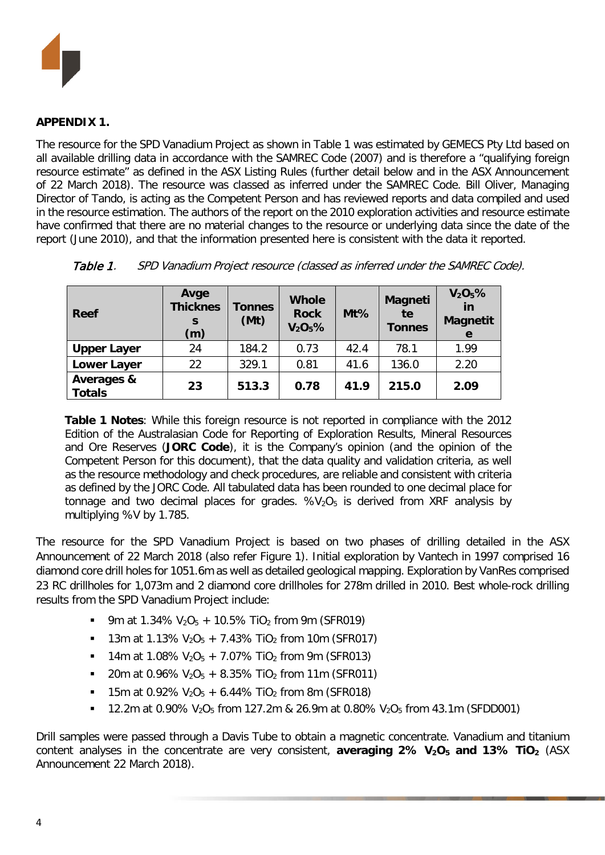

#### **APPENDIX 1.**

The resource for the SPD Vanadium Project as shown in Table 1 was estimated by GEMECS Pty Ltd based on all available drilling data in accordance with the SAMREC Code (2007) and is therefore a "qualifying foreign resource estimate" as defined in the ASX Listing Rules (further detail below and in the ASX Announcement of 22 March 2018). The resource was classed as inferred under the SAMREC Code. Bill Oliver, Managing Director of Tando, is acting as the Competent Person and has reviewed reports and data compiled and used in the resource estimation. The authors of the report on the 2010 exploration activities and resource estimate have confirmed that there are no material changes to the resource or underlying data since the date of the report (June 2010), and that the information presented here is consistent with the data it reported.

| <b>Reef</b>                 | Avge<br><b>Thicknes</b><br>S<br>(m) | <b>Tonnes</b><br>(Mt) | <b>Whole</b><br><b>Rock</b><br>$V_2O_5%$ | $Mt\%$ | <b>Magneti</b><br>te<br><b>Tonnes</b> | $V_2O_5%$<br>in<br><b>Magnetit</b><br>e |
|-----------------------------|-------------------------------------|-----------------------|------------------------------------------|--------|---------------------------------------|-----------------------------------------|
| <b>Upper Layer</b>          | 24                                  | 184.2                 | 0.73                                     | 42.4   | 78.1                                  | 1.99                                    |
| <b>Lower Layer</b>          | 22                                  | 329.1                 | 0.81                                     | 41.6   | 136.0                                 | 2.20                                    |
| Averages &<br><b>Totals</b> | 23                                  | 513.3                 | 0.78                                     | 41.9   | 215.0                                 | 2.09                                    |

Table 1. SPD Vanadium Project resource (classed as inferred under the SAMREC Code).

**Table 1 Notes**: While this foreign resource is not reported in compliance with the 2012 Edition of the Australasian Code for Reporting of Exploration Results, Mineral Resources and Ore Reserves (**JORC Code**), it is the Company's opinion (and the opinion of the Competent Person for this document), that the data quality and validation criteria, as well as the resource methodology and check procedures, are reliable and consistent with criteria as defined by the JORC Code. All tabulated data has been rounded to one decimal place for tonnage and two decimal places for grades.  $%V<sub>2</sub>O<sub>5</sub>$  is derived from XRF analysis by multiplying %V by 1.785.

The resource for the SPD Vanadium Project is based on two phases of drilling detailed in the ASX Announcement of 22 March 2018 (also refer Figure 1). Initial exploration by Vantech in 1997 comprised 16 diamond core drill holes for 1051.6m as well as detailed geological mapping. Exploration by VanRes comprised 23 RC drillholes for 1,073m and 2 diamond core drillholes for 278m drilled in 2010. Best whole-rock drilling results from the SPD Vanadium Project include:

- 9m at 1.34%  $V_2O_5 + 10.5%$  TiO<sub>2</sub> from 9m (SFR019)
- **13m at 1.13% V<sub>2</sub>O<sub>5</sub> + 7.43% TiO<sub>2</sub> from 10m (SFR017)**
- **14m at 1.08% V<sub>2</sub>O<sub>5</sub> + 7.07% TiO<sub>2</sub> from 9m (SFR013)**
- 20m at 0.96%  $V_2O_5 + 8.35\%$  TiO<sub>2</sub> from 11m (SFR011)
- **15m at 0.92% V<sub>2</sub>O<sub>5</sub> + 6.44% TiO<sub>2</sub> from 8m (SFR018)**
- 12.2m at 0.90%  $V_2O_5$  from 127.2m & 26.9m at 0.80%  $V_2O_5$  from 43.1m (SFDD001)

Drill samples were passed through a Davis Tube to obtain a magnetic concentrate. Vanadium and titanium content analyses in the concentrate are very consistent, **averaging 2% V<sub>2</sub>O<sub>5</sub> and 13% TiO**<sub>2</sub> (ASX Announcement 22 March 2018).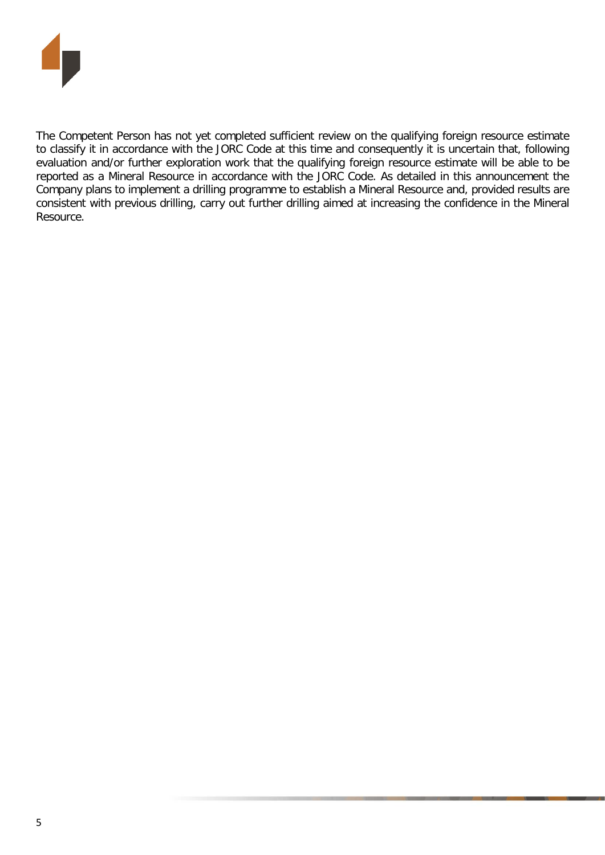

The Competent Person has not yet completed sufficient review on the qualifying foreign resource estimate to classify it in accordance with the JORC Code at this time and consequently it is uncertain that, following evaluation and/or further exploration work that the qualifying foreign resource estimate will be able to be reported as a Mineral Resource in accordance with the JORC Code. As detailed in this announcement the Company plans to implement a drilling programme to establish a Mineral Resource and, provided results are consistent with previous drilling, carry out further drilling aimed at increasing the confidence in the Mineral Resource.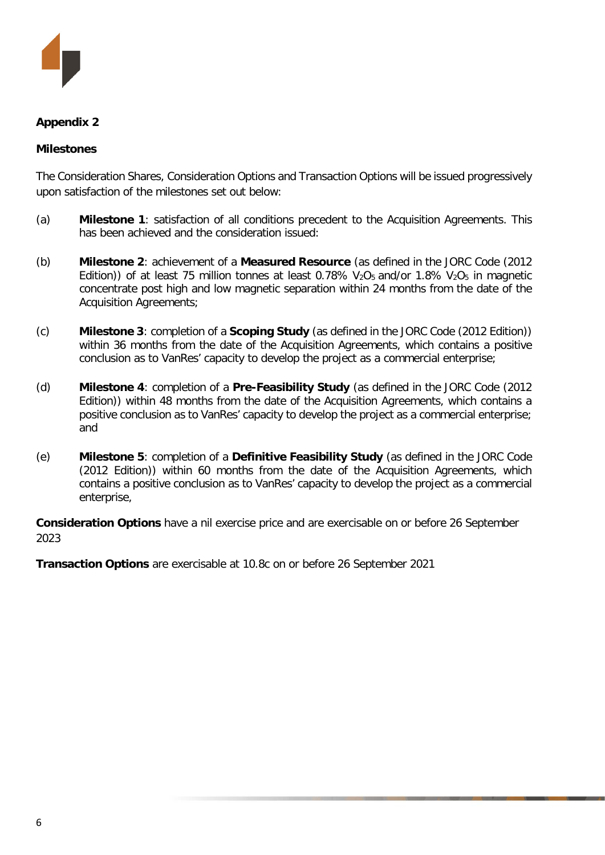

#### **Appendix 2**

#### **Milestones**

The Consideration Shares, Consideration Options and Transaction Options will be issued progressively upon satisfaction of the milestones set out below:

- (a) **Milestone 1**: satisfaction of all conditions precedent to the Acquisition Agreements. This has been achieved and the consideration issued:
- (b) **Milestone 2**: achievement of a **Measured Resource** (as defined in the JORC Code (2012 Edition)) of at least 75 million tonnes at least 0.78%  $V_2O_5$  and/or 1.8%  $V_2O_5$  in magnetic concentrate post high and low magnetic separation within 24 months from the date of the Acquisition Agreements;
- (c) **Milestone 3**: completion of a **Scoping Study** (as defined in the JORC Code (2012 Edition)) within 36 months from the date of the Acquisition Agreements, which contains a positive conclusion as to VanRes' capacity to develop the project as a commercial enterprise;
- (d) **Milestone 4**: completion of a **Pre-Feasibility Study** (as defined in the JORC Code (2012 Edition)) within 48 months from the date of the Acquisition Agreements, which contains a positive conclusion as to VanRes' capacity to develop the project as a commercial enterprise; and
- (e) **Milestone 5**: completion of a **Definitive Feasibility Study** (as defined in the JORC Code (2012 Edition)) within 60 months from the date of the Acquisition Agreements, which contains a positive conclusion as to VanRes' capacity to develop the project as a commercial enterprise,

**Consideration Options** have a nil exercise price and are exercisable on or before 26 September 2023

**Transaction Options** are exercisable at 10.8c on or before 26 September 2021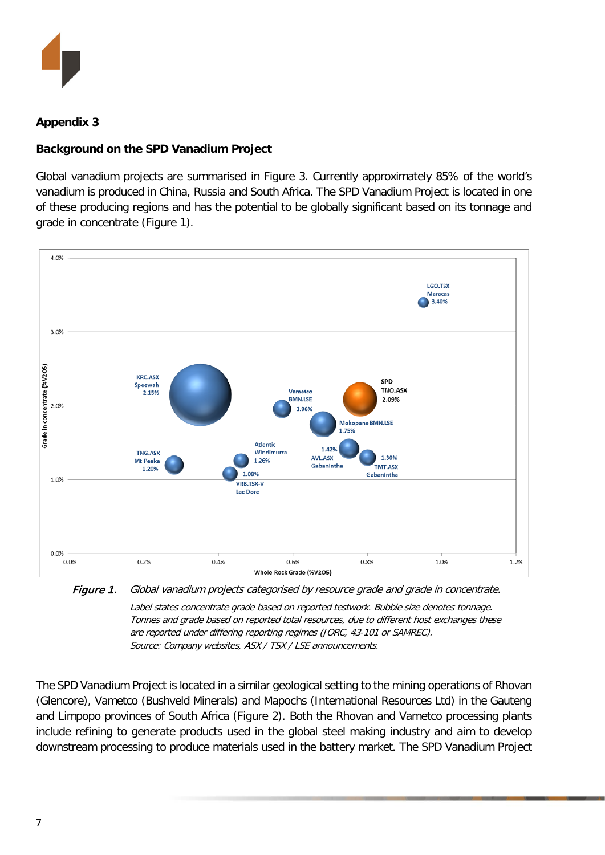

### **Appendix 3**

#### **Background on the SPD Vanadium Project**

Global vanadium projects are summarised in Figure 3. Currently approximately 85% of the world's vanadium is produced in China, Russia and South Africa. The SPD Vanadium Project is located in one of these producing regions and has the potential to be globally significant based on its tonnage and grade in concentrate (Figure 1).



Figure 1. Global vanadium projects categorised by resource grade and grade in concentrate. Label states concentrate grade based on reported testwork. Bubble size denotes tonnage. Tonnes and grade based on reported total resources, due to different host exchanges these are reported under differing reporting regimes (JORC, 43-101 or SAMREC). Source: Company websites, ASX / TSX / LSE announcements.

The SPD Vanadium Project is located in a similar geological setting to the mining operations of Rhovan (Glencore), Vametco (Bushveld Minerals) and Mapochs (International Resources Ltd) in the Gauteng and Limpopo provinces of South Africa (Figure 2). Both the Rhovan and Vametco processing plants include refining to generate products used in the global steel making industry and aim to develop downstream processing to produce materials used in the battery market. The SPD Vanadium Project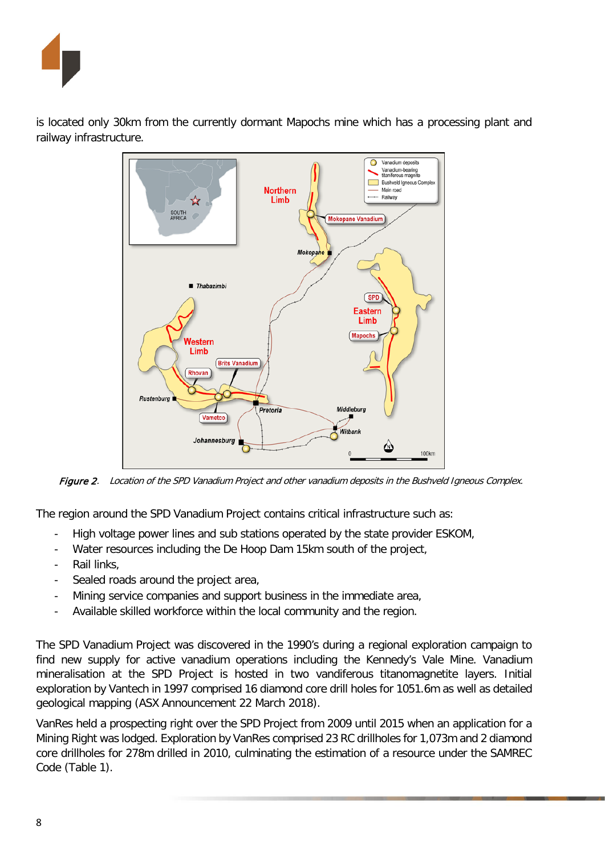

is located only 30km from the currently dormant Mapochs mine which has a processing plant and railway infrastructure.



Figure 2. Location of the SPD Vanadium Project and other vanadium deposits in the Bushveld Igneous Complex.

The region around the SPD Vanadium Project contains critical infrastructure such as:

- High voltage power lines and sub stations operated by the state provider ESKOM,
- Water resources including the De Hoop Dam 15km south of the project,
- Rail links,
- Sealed roads around the project area,
- Mining service companies and support business in the immediate area,
- Available skilled workforce within the local community and the region.

The SPD Vanadium Project was discovered in the 1990's during a regional exploration campaign to find new supply for active vanadium operations including the Kennedy's Vale Mine. Vanadium mineralisation at the SPD Project is hosted in two vandiferous titanomagnetite layers. Initial exploration by Vantech in 1997 comprised 16 diamond core drill holes for 1051.6m as well as detailed geological mapping (ASX Announcement 22 March 2018).

VanRes held a prospecting right over the SPD Project from 2009 until 2015 when an application for a Mining Right was lodged. Exploration by VanRes comprised 23 RC drillholes for 1,073m and 2 diamond core drillholes for 278m drilled in 2010, culminating the estimation of a resource under the SAMREC Code (Table 1).